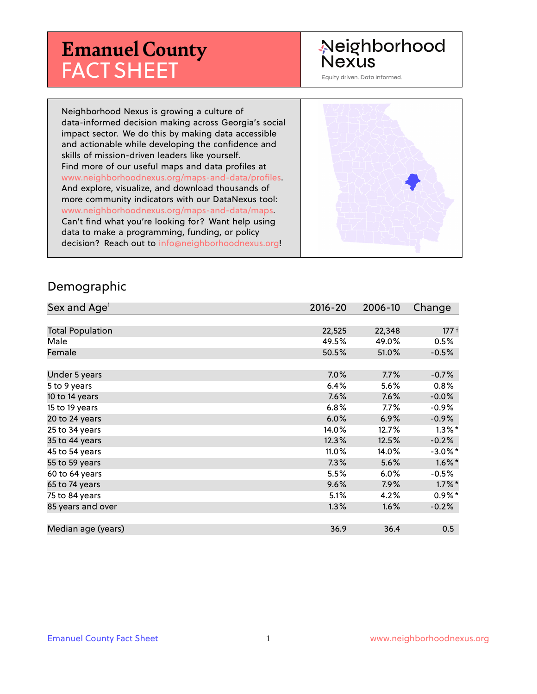# **Emanuel County** FACT SHEET

## Neighborhood **Nexus**

Equity driven. Data informed.

Neighborhood Nexus is growing a culture of data-informed decision making across Georgia's social impact sector. We do this by making data accessible and actionable while developing the confidence and skills of mission-driven leaders like yourself. Find more of our useful maps and data profiles at www.neighborhoodnexus.org/maps-and-data/profiles. And explore, visualize, and download thousands of more community indicators with our DataNexus tool: www.neighborhoodnexus.org/maps-and-data/maps. Can't find what you're looking for? Want help using data to make a programming, funding, or policy decision? Reach out to [info@neighborhoodnexus.org!](mailto:info@neighborhoodnexus.org)



#### Demographic

| Sex and Age <sup>1</sup> | $2016 - 20$ | 2006-10 | Change     |
|--------------------------|-------------|---------|------------|
|                          |             |         |            |
| <b>Total Population</b>  | 22,525      | 22,348  | $177 +$    |
| Male                     | 49.5%       | 49.0%   | 0.5%       |
| Female                   | 50.5%       | 51.0%   | $-0.5%$    |
|                          |             |         |            |
| Under 5 years            | 7.0%        | 7.7%    | $-0.7%$    |
| 5 to 9 years             | 6.4%        | 5.6%    | 0.8%       |
| 10 to 14 years           | 7.6%        | 7.6%    | $-0.0\%$   |
| 15 to 19 years           | 6.8%        | 7.7%    | $-0.9%$    |
| 20 to 24 years           | 6.0%        | 6.9%    | $-0.9\%$   |
| 25 to 34 years           | 14.0%       | 12.7%   | $1.3\%$ *  |
| 35 to 44 years           | 12.3%       | 12.5%   | $-0.2%$    |
| 45 to 54 years           | 11.0%       | 14.0%   | $-3.0\%$ * |
| 55 to 59 years           | 7.3%        | 5.6%    | $1.6\%$ *  |
| 60 to 64 years           | 5.5%        | 6.0%    | $-0.5%$    |
| 65 to 74 years           | 9.6%        | 7.9%    | $1.7\%$ *  |
| 75 to 84 years           | 5.1%        | 4.2%    | $0.9\%$ *  |
| 85 years and over        | 1.3%        | 1.6%    | $-0.2%$    |
|                          |             |         |            |
| Median age (years)       | 36.9        | 36.4    | 0.5        |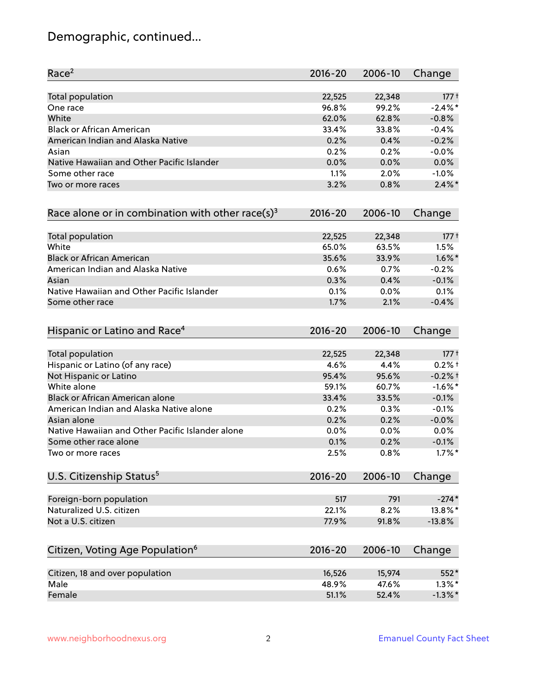## Demographic, continued...

| Race <sup>2</sup>                                            | $2016 - 20$ | 2006-10 | Change     |
|--------------------------------------------------------------|-------------|---------|------------|
| <b>Total population</b>                                      | 22,525      | 22,348  | $177 +$    |
| One race                                                     | 96.8%       | 99.2%   | $-2.4\%$ * |
| White                                                        | 62.0%       | 62.8%   | $-0.8%$    |
| <b>Black or African American</b>                             | 33.4%       | 33.8%   | $-0.4%$    |
| American Indian and Alaska Native                            | 0.2%        | 0.4%    | $-0.2%$    |
| Asian                                                        | 0.2%        | 0.2%    | $-0.0%$    |
| Native Hawaiian and Other Pacific Islander                   | 0.0%        | 0.0%    | 0.0%       |
| Some other race                                              | 1.1%        | 2.0%    | $-1.0%$    |
| Two or more races                                            | 3.2%        | 0.8%    | $2.4\%$ *  |
| Race alone or in combination with other race(s) <sup>3</sup> | $2016 - 20$ | 2006-10 | Change     |
| Total population                                             | 22,525      | 22,348  | $177 +$    |
| White                                                        | 65.0%       | 63.5%   | 1.5%       |
| <b>Black or African American</b>                             | 35.6%       | 33.9%   | $1.6\%$ *  |
| American Indian and Alaska Native                            | 0.6%        | 0.7%    | $-0.2%$    |
| Asian                                                        | 0.3%        | 0.4%    | $-0.1%$    |
| Native Hawaiian and Other Pacific Islander                   | 0.1%        | 0.0%    | 0.1%       |
| Some other race                                              | 1.7%        | 2.1%    | $-0.4%$    |
| Hispanic or Latino and Race <sup>4</sup>                     | $2016 - 20$ | 2006-10 | Change     |
| <b>Total population</b>                                      | 22,525      | 22,348  | $177 +$    |
| Hispanic or Latino (of any race)                             | 4.6%        | 4.4%    | $0.2%$ +   |
| Not Hispanic or Latino                                       | 95.4%       | 95.6%   | $-0.2%$ †  |
| White alone                                                  | 59.1%       | 60.7%   | $-1.6\%$ * |
| Black or African American alone                              | 33.4%       | 33.5%   | $-0.1%$    |
| American Indian and Alaska Native alone                      | 0.2%        | 0.3%    | $-0.1%$    |
| Asian alone                                                  | 0.2%        | 0.2%    | $-0.0%$    |
| Native Hawaiian and Other Pacific Islander alone             | 0.0%        | 0.0%    | 0.0%       |
| Some other race alone                                        | 0.1%        | 0.2%    | $-0.1%$    |
| Two or more races                                            | 2.5%        | 0.8%    | $1.7\%$ *  |
| U.S. Citizenship Status <sup>5</sup>                         | $2016 - 20$ | 2006-10 | Change     |
| Foreign-born population                                      | 517         | 791     | $-274*$    |
| Naturalized U.S. citizen                                     | 22.1%       | 8.2%    | 13.8%*     |
| Not a U.S. citizen                                           | 77.9%       | 91.8%   | $-13.8%$   |
| Citizen, Voting Age Population <sup>6</sup>                  | $2016 - 20$ | 2006-10 | Change     |
|                                                              |             |         |            |
| Citizen, 18 and over population                              | 16,526      | 15,974  | 552*       |
| Male                                                         | 48.9%       | 47.6%   | $1.3\%$ *  |
| Female                                                       | 51.1%       | 52.4%   | $-1.3\%$ * |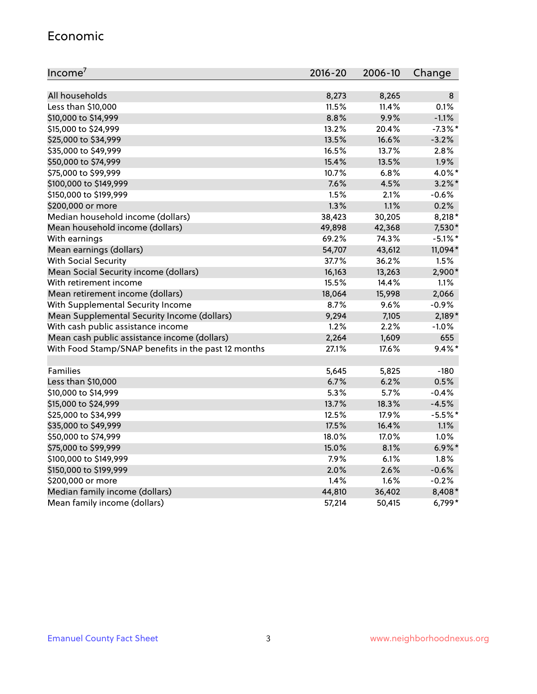#### Economic

| Income <sup>7</sup>                                 | $2016 - 20$ | 2006-10 | Change     |
|-----------------------------------------------------|-------------|---------|------------|
|                                                     |             |         |            |
| All households                                      | 8,273       | 8,265   | 8          |
| Less than \$10,000                                  | 11.5%       | 11.4%   | 0.1%       |
| \$10,000 to \$14,999                                | 8.8%        | 9.9%    | $-1.1%$    |
| \$15,000 to \$24,999                                | 13.2%       | 20.4%   | $-7.3\%$ * |
| \$25,000 to \$34,999                                | 13.5%       | 16.6%   | $-3.2%$    |
| \$35,000 to \$49,999                                | 16.5%       | 13.7%   | 2.8%       |
| \$50,000 to \$74,999                                | 15.4%       | 13.5%   | 1.9%       |
| \$75,000 to \$99,999                                | 10.7%       | 6.8%    | 4.0%*      |
| \$100,000 to \$149,999                              | 7.6%        | 4.5%    | $3.2\%$ *  |
| \$150,000 to \$199,999                              | 1.5%        | 2.1%    | $-0.6%$    |
| \$200,000 or more                                   | 1.3%        | 1.1%    | 0.2%       |
| Median household income (dollars)                   | 38,423      | 30,205  | $8,218*$   |
| Mean household income (dollars)                     | 49,898      | 42,368  | 7,530*     |
| With earnings                                       | 69.2%       | 74.3%   | $-5.1\%$ * |
| Mean earnings (dollars)                             | 54,707      | 43,612  | 11,094*    |
| <b>With Social Security</b>                         | 37.7%       | 36.2%   | 1.5%       |
| Mean Social Security income (dollars)               | 16,163      | 13,263  | 2,900*     |
| With retirement income                              | 15.5%       | 14.4%   | 1.1%       |
| Mean retirement income (dollars)                    | 18,064      | 15,998  | 2,066      |
| With Supplemental Security Income                   | $8.7\%$     | $9.6\%$ | $-0.9%$    |
| Mean Supplemental Security Income (dollars)         | 9,294       | 7,105   | $2,189*$   |
| With cash public assistance income                  | 1.2%        | 2.2%    | $-1.0%$    |
| Mean cash public assistance income (dollars)        | 2,264       | 1,609   | 655        |
| With Food Stamp/SNAP benefits in the past 12 months | 27.1%       | 17.6%   | $9.4\%$ *  |
|                                                     |             |         |            |
| Families                                            | 5,645       | 5,825   | $-180$     |
| Less than \$10,000                                  | 6.7%        | 6.2%    | 0.5%       |
| \$10,000 to \$14,999                                | 5.3%        | 5.7%    | $-0.4%$    |
| \$15,000 to \$24,999                                | 13.7%       | 18.3%   | $-4.5%$    |
| \$25,000 to \$34,999                                | 12.5%       | 17.9%   | $-5.5%$ *  |
| \$35,000 to \$49,999                                | 17.5%       | 16.4%   | 1.1%       |
| \$50,000 to \$74,999                                | 18.0%       | 17.0%   | 1.0%       |
| \$75,000 to \$99,999                                | 15.0%       | 8.1%    | $6.9\%$ *  |
| \$100,000 to \$149,999                              | 7.9%        | $6.1\%$ | 1.8%       |
| \$150,000 to \$199,999                              | 2.0%        | 2.6%    | $-0.6%$    |
| \$200,000 or more                                   | 1.4%        | 1.6%    | $-0.2%$    |
| Median family income (dollars)                      | 44,810      | 36,402  | 8,408*     |
| Mean family income (dollars)                        | 57,214      | 50,415  | 6,799*     |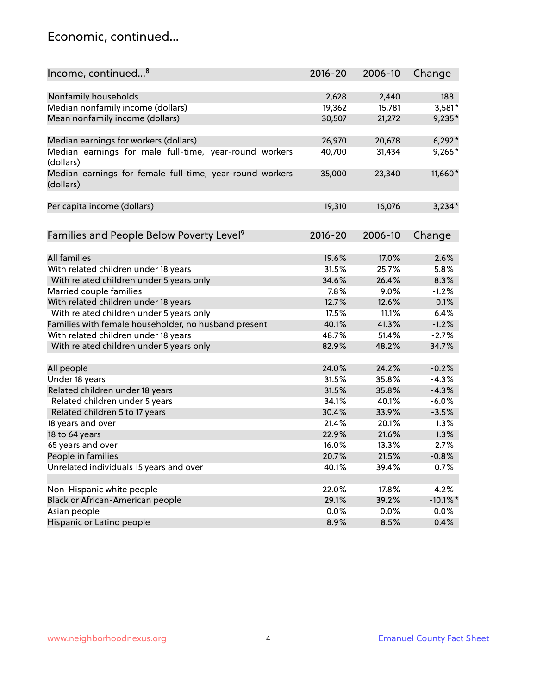### Economic, continued...

| Income, continued <sup>8</sup>                                        | $2016 - 20$ | 2006-10 | Change      |
|-----------------------------------------------------------------------|-------------|---------|-------------|
|                                                                       |             |         |             |
| Nonfamily households                                                  | 2,628       | 2,440   | 188         |
| Median nonfamily income (dollars)                                     | 19,362      | 15,781  | 3,581*      |
| Mean nonfamily income (dollars)                                       | 30,507      | 21,272  | 9,235*      |
| Median earnings for workers (dollars)                                 | 26,970      | 20,678  | $6,292*$    |
| Median earnings for male full-time, year-round workers                | 40,700      | 31,434  | 9,266*      |
| (dollars)                                                             |             |         |             |
| Median earnings for female full-time, year-round workers<br>(dollars) | 35,000      | 23,340  | 11,660*     |
| Per capita income (dollars)                                           | 19,310      | 16,076  | $3,234*$    |
|                                                                       |             |         |             |
| Families and People Below Poverty Level <sup>9</sup>                  | 2016-20     | 2006-10 | Change      |
| <b>All families</b>                                                   |             |         | 2.6%        |
|                                                                       | 19.6%       | 17.0%   |             |
| With related children under 18 years                                  | 31.5%       | 25.7%   | 5.8%        |
| With related children under 5 years only                              | 34.6%       | 26.4%   | 8.3%        |
| Married couple families                                               | 7.8%        | 9.0%    | $-1.2%$     |
| With related children under 18 years                                  | 12.7%       | 12.6%   | 0.1%        |
| With related children under 5 years only                              | 17.5%       | 11.1%   | 6.4%        |
| Families with female householder, no husband present                  | 40.1%       | 41.3%   | $-1.2%$     |
| With related children under 18 years                                  | 48.7%       | 51.4%   | $-2.7%$     |
| With related children under 5 years only                              | 82.9%       | 48.2%   | 34.7%       |
| All people                                                            | 24.0%       | 24.2%   | $-0.2%$     |
| Under 18 years                                                        | 31.5%       | 35.8%   | $-4.3%$     |
| Related children under 18 years                                       | 31.5%       | 35.8%   | $-4.3%$     |
| Related children under 5 years                                        | 34.1%       | 40.1%   | $-6.0%$     |
| Related children 5 to 17 years                                        | 30.4%       | 33.9%   | $-3.5%$     |
| 18 years and over                                                     | 21.4%       | 20.1%   | 1.3%        |
| 18 to 64 years                                                        | 22.9%       | 21.6%   | 1.3%        |
| 65 years and over                                                     | 16.0%       | 13.3%   | 2.7%        |
| People in families                                                    | 20.7%       | 21.5%   | $-0.8%$     |
| Unrelated individuals 15 years and over                               | 40.1%       | 39.4%   | 0.7%        |
|                                                                       |             |         |             |
| Non-Hispanic white people                                             | 22.0%       | 17.8%   | 4.2%        |
| Black or African-American people                                      | 29.1%       | 39.2%   | $-10.1\%$ * |
| Asian people                                                          | 0.0%        | $0.0\%$ | $0.0\%$     |
| Hispanic or Latino people                                             | 8.9%        | 8.5%    | 0.4%        |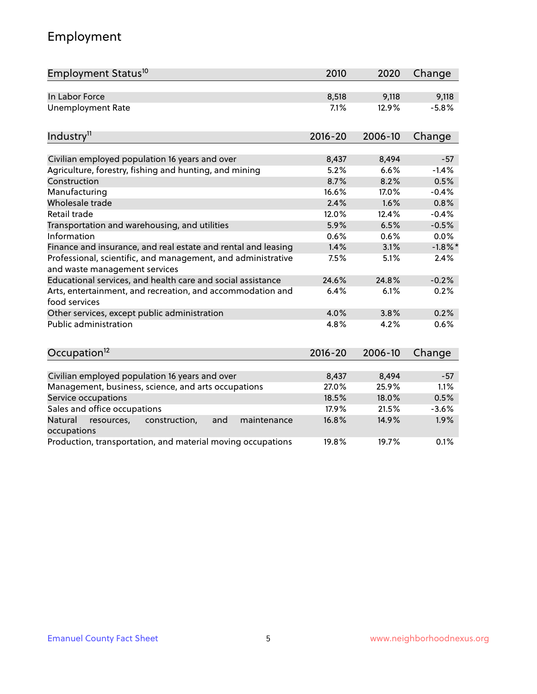## Employment

| Employment Status <sup>10</sup>                                                               | 2010        | 2020    | Change     |
|-----------------------------------------------------------------------------------------------|-------------|---------|------------|
| In Labor Force                                                                                | 8,518       | 9,118   | 9,118      |
| <b>Unemployment Rate</b>                                                                      | 7.1%        | 12.9%   | $-5.8%$    |
| Industry <sup>11</sup>                                                                        | $2016 - 20$ | 2006-10 | Change     |
|                                                                                               |             |         |            |
| Civilian employed population 16 years and over                                                | 8,437       | 8,494   | $-57$      |
| Agriculture, forestry, fishing and hunting, and mining                                        | 5.2%        | 6.6%    | $-1.4%$    |
| Construction                                                                                  | 8.7%        | 8.2%    | 0.5%       |
| Manufacturing                                                                                 | 16.6%       | 17.0%   | $-0.4%$    |
| Wholesale trade                                                                               | 2.4%        | 1.6%    | 0.8%       |
| Retail trade                                                                                  | 12.0%       | 12.4%   | $-0.4%$    |
| Transportation and warehousing, and utilities                                                 | 5.9%        | 6.5%    | $-0.5%$    |
| Information                                                                                   | 0.6%        | 0.6%    | 0.0%       |
| Finance and insurance, and real estate and rental and leasing                                 | 1.4%        | 3.1%    | $-1.8\%$ * |
| Professional, scientific, and management, and administrative<br>and waste management services | 7.5%        | 5.1%    | 2.4%       |
| Educational services, and health care and social assistance                                   | 24.6%       | 24.8%   | $-0.2%$    |
| Arts, entertainment, and recreation, and accommodation and<br>food services                   | 6.4%        | 6.1%    | 0.2%       |
| Other services, except public administration                                                  | 4.0%        | 3.8%    | 0.2%       |
| <b>Public administration</b>                                                                  | 4.8%        | 4.2%    | 0.6%       |
| Occupation <sup>12</sup>                                                                      | $2016 - 20$ | 2006-10 | Change     |
|                                                                                               |             |         |            |
| Civilian employed population 16 years and over                                                | 8,437       | 8,494   | $-57$      |
| Management, business, science, and arts occupations                                           | 27.0%       | 25.9%   | 1.1%       |
| Service occupations                                                                           | 18.5%       | 18.0%   | 0.5%       |
| Sales and office occupations                                                                  | 17.9%       | 21.5%   | $-3.6%$    |
| Natural<br>resources,<br>construction,<br>and<br>maintenance<br>occupations                   | 16.8%       | 14.9%   | 1.9%       |
| Production, transportation, and material moving occupations                                   | 19.8%       | 19.7%   | 0.1%       |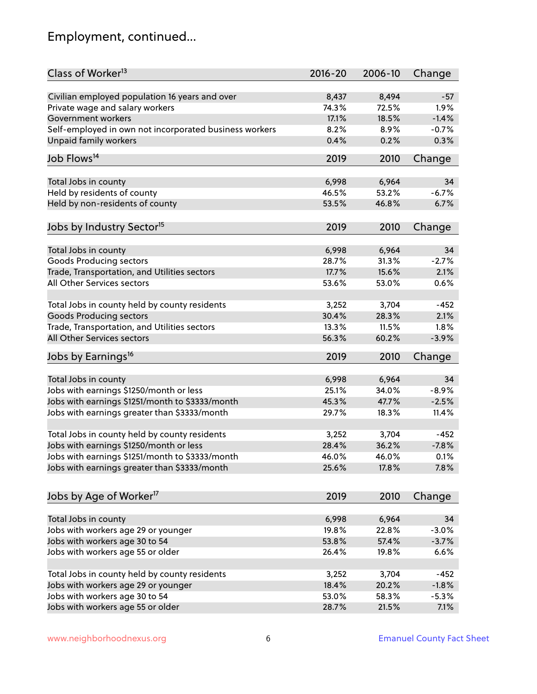## Employment, continued...

| Class of Worker <sup>13</sup>                          | $2016 - 20$ | 2006-10 | Change  |
|--------------------------------------------------------|-------------|---------|---------|
| Civilian employed population 16 years and over         | 8,437       | 8,494   | $-57$   |
| Private wage and salary workers                        | 74.3%       | 72.5%   | 1.9%    |
| Government workers                                     | 17.1%       | 18.5%   | $-1.4%$ |
| Self-employed in own not incorporated business workers | 8.2%        | 8.9%    | $-0.7%$ |
| Unpaid family workers                                  | 0.4%        | 0.2%    | 0.3%    |
|                                                        |             |         |         |
| Job Flows <sup>14</sup>                                | 2019        | 2010    | Change  |
|                                                        | 6,998       | 6,964   | 34      |
| Total Jobs in county<br>Held by residents of county    | 46.5%       | 53.2%   | $-6.7%$ |
|                                                        |             |         |         |
| Held by non-residents of county                        | 53.5%       | 46.8%   | 6.7%    |
| Jobs by Industry Sector <sup>15</sup>                  | 2019        | 2010    | Change  |
| Total Jobs in county                                   | 6,998       | 6,964   | 34      |
| Goods Producing sectors                                | 28.7%       | 31.3%   | $-2.7%$ |
| Trade, Transportation, and Utilities sectors           | 17.7%       | 15.6%   | 2.1%    |
| All Other Services sectors                             | 53.6%       | 53.0%   | 0.6%    |
|                                                        |             |         |         |
| Total Jobs in county held by county residents          | 3,252       | 3,704   | $-452$  |
| <b>Goods Producing sectors</b>                         | 30.4%       | 28.3%   | 2.1%    |
| Trade, Transportation, and Utilities sectors           | 13.3%       | 11.5%   | 1.8%    |
| All Other Services sectors                             | 56.3%       | 60.2%   | $-3.9%$ |
| Jobs by Earnings <sup>16</sup>                         | 2019        | 2010    | Change  |
|                                                        |             |         |         |
| Total Jobs in county                                   | 6,998       | 6,964   | 34      |
| Jobs with earnings \$1250/month or less                | 25.1%       | 34.0%   | $-8.9%$ |
| Jobs with earnings \$1251/month to \$3333/month        | 45.3%       | 47.7%   | $-2.5%$ |
| Jobs with earnings greater than \$3333/month           | 29.7%       | 18.3%   | 11.4%   |
| Total Jobs in county held by county residents          | 3,252       | 3,704   | $-452$  |
| Jobs with earnings \$1250/month or less                | 28.4%       | 36.2%   | $-7.8%$ |
| Jobs with earnings \$1251/month to \$3333/month        | 46.0%       | 46.0%   | 0.1%    |
| Jobs with earnings greater than \$3333/month           | 25.6%       | 17.8%   | 7.8%    |
|                                                        |             |         |         |
| Jobs by Age of Worker <sup>17</sup>                    | 2019        | 2010    | Change  |
| Total Jobs in county                                   | 6,998       | 6,964   | 34      |
| Jobs with workers age 29 or younger                    | 19.8%       | 22.8%   | $-3.0%$ |
| Jobs with workers age 30 to 54                         | 53.8%       | 57.4%   | $-3.7%$ |
| Jobs with workers age 55 or older                      | 26.4%       | 19.8%   | 6.6%    |
|                                                        |             |         |         |
| Total Jobs in county held by county residents          | 3,252       | 3,704   | $-452$  |
| Jobs with workers age 29 or younger                    | 18.4%       | 20.2%   | $-1.8%$ |
| Jobs with workers age 30 to 54                         | 53.0%       | 58.3%   | $-5.3%$ |
| Jobs with workers age 55 or older                      | 28.7%       | 21.5%   | 7.1%    |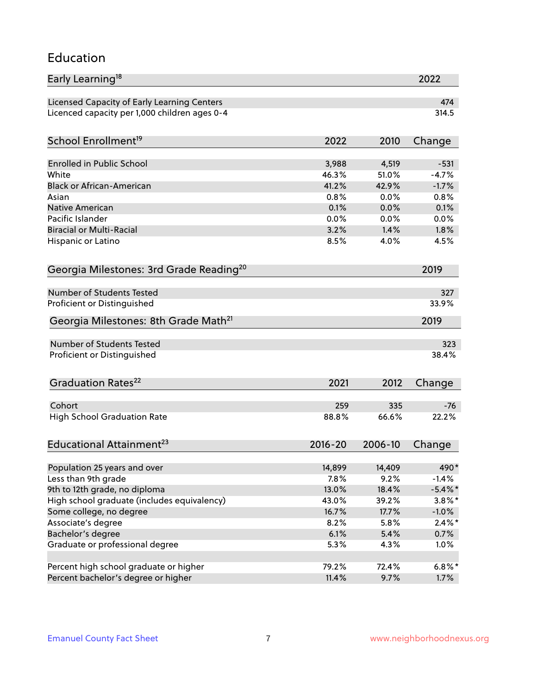#### Education

| Early Learning <sup>18</sup>                        |             |         | 2022       |
|-----------------------------------------------------|-------------|---------|------------|
| Licensed Capacity of Early Learning Centers         |             |         | 474        |
| Licenced capacity per 1,000 children ages 0-4       |             |         | 314.5      |
| School Enrollment <sup>19</sup>                     | 2022        | 2010    | Change     |
|                                                     |             |         |            |
| <b>Enrolled in Public School</b>                    | 3,988       | 4,519   | $-531$     |
| White                                               | 46.3%       | 51.0%   | $-4.7%$    |
| <b>Black or African-American</b>                    | 41.2%       | 42.9%   | $-1.7%$    |
| Asian                                               | 0.8%        | 0.0%    | 0.8%       |
| <b>Native American</b>                              | 0.1%        | 0.0%    | 0.1%       |
| Pacific Islander                                    | 0.0%        | 0.0%    | 0.0%       |
| <b>Biracial or Multi-Racial</b>                     | 3.2%        | 1.4%    | 1.8%       |
| Hispanic or Latino                                  | 8.5%        | 4.0%    | 4.5%       |
| Georgia Milestones: 3rd Grade Reading <sup>20</sup> |             |         | 2019       |
|                                                     |             |         |            |
| Number of Students Tested                           |             |         | 327        |
| Proficient or Distinguished                         |             |         | 33.9%      |
| Georgia Milestones: 8th Grade Math <sup>21</sup>    |             |         | 2019       |
| Number of Students Tested                           |             |         | 323        |
| Proficient or Distinguished                         |             |         | 38.4%      |
|                                                     |             |         |            |
| Graduation Rates <sup>22</sup>                      | 2021        | 2012    | Change     |
| Cohort                                              | 259         | 335     | -76        |
| <b>High School Graduation Rate</b>                  | 88.8%       | 66.6%   | 22.2%      |
|                                                     |             |         |            |
| Educational Attainment <sup>23</sup>                | $2016 - 20$ | 2006-10 | Change     |
| Population 25 years and over                        | 14,899      | 14,409  | 490*       |
| Less than 9th grade                                 | 7.8%        | 9.2%    | $-1.4%$    |
| 9th to 12th grade, no diploma                       | 13.0%       | 18.4%   | $-5.4\%$ * |
| High school graduate (includes equivalency)         | 43.0%       | 39.2%   | $3.8\%$ *  |
| Some college, no degree                             | 16.7%       | 17.7%   | $-1.0\%$   |
| Associate's degree                                  | 8.2%        | 5.8%    | $2.4\%*$   |
| Bachelor's degree                                   | 6.1%        | 5.4%    |            |
|                                                     |             |         | $0.7\%$    |
| Graduate or professional degree                     | 5.3%        | 4.3%    | 1.0%       |
| Percent high school graduate or higher              | 79.2%       | 72.4%   | $6.8\%*$   |
| Percent bachelor's degree or higher                 | 11.4%       | 9.7%    | 1.7%       |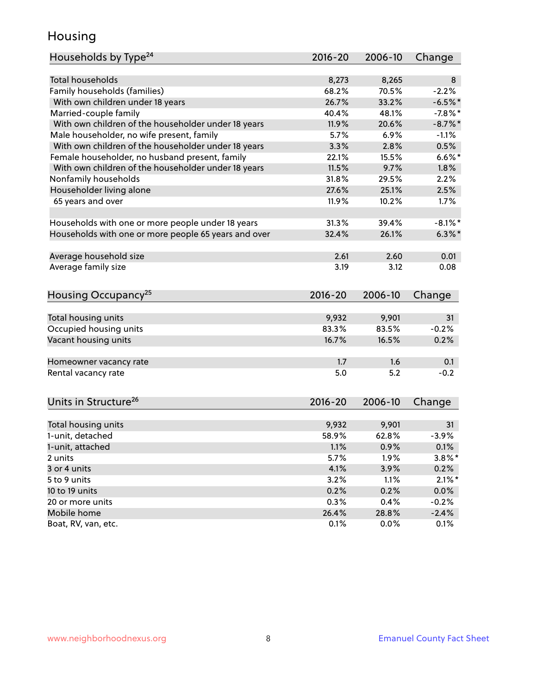### Housing

| Households by Type <sup>24</sup>                     | $2016 - 20$ | 2006-10 | Change     |
|------------------------------------------------------|-------------|---------|------------|
|                                                      |             |         |            |
| <b>Total households</b>                              | 8,273       | 8,265   | 8          |
| Family households (families)                         | 68.2%       | 70.5%   | $-2.2%$    |
| With own children under 18 years                     | 26.7%       | 33.2%   | $-6.5%$ *  |
| Married-couple family                                | 40.4%       | 48.1%   | $-7.8\%$ * |
| With own children of the householder under 18 years  | 11.9%       | 20.6%   | $-8.7\%$ * |
| Male householder, no wife present, family            | 5.7%        | 6.9%    | $-1.1%$    |
| With own children of the householder under 18 years  | 3.3%        | 2.8%    | 0.5%       |
| Female householder, no husband present, family       | 22.1%       | 15.5%   | $6.6\%$ *  |
| With own children of the householder under 18 years  | 11.5%       | 9.7%    | 1.8%       |
| Nonfamily households                                 | 31.8%       | 29.5%   | 2.2%       |
| Householder living alone                             | 27.6%       | 25.1%   | 2.5%       |
| 65 years and over                                    | 11.9%       | 10.2%   | 1.7%       |
| Households with one or more people under 18 years    | 31.3%       | 39.4%   | $-8.1\%$ * |
| Households with one or more people 65 years and over | 32.4%       | 26.1%   | $6.3\%$ *  |
|                                                      |             |         |            |
| Average household size                               | 2.61        | 2.60    | 0.01       |
| Average family size                                  | 3.19        | 3.12    | 0.08       |
| Housing Occupancy <sup>25</sup>                      | $2016 - 20$ | 2006-10 | Change     |
|                                                      |             |         |            |
| Total housing units                                  | 9,932       | 9,901   | 31         |
| Occupied housing units                               | 83.3%       | 83.5%   | $-0.2%$    |
| Vacant housing units                                 | 16.7%       | 16.5%   | 0.2%       |
|                                                      |             |         |            |
| Homeowner vacancy rate                               | 1.7         | 1.6     | 0.1        |
| Rental vacancy rate                                  | 5.0         | 5.2     | $-0.2$     |
|                                                      |             |         |            |
| Units in Structure <sup>26</sup>                     | $2016 - 20$ | 2006-10 | Change     |
|                                                      |             |         |            |
| Total housing units                                  | 9,932       | 9,901   | 31         |
| 1-unit, detached                                     | 58.9%       | 62.8%   | $-3.9%$    |
| 1-unit, attached                                     | 1.1%        | 0.9%    | 0.1%       |
| 2 units                                              | 5.7%        | 1.9%    | $3.8\%$ *  |
| 3 or 4 units                                         | 4.1%        | 3.9%    | 0.2%       |
| 5 to 9 units                                         | 3.2%        | 1.1%    | $2.1\%$ *  |
| 10 to 19 units                                       | 0.2%        | 0.2%    | $0.0\%$    |
| 20 or more units                                     | 0.3%        | 0.4%    | $-0.2%$    |
| Mobile home                                          | 26.4%       | 28.8%   | $-2.4%$    |
| Boat, RV, van, etc.                                  | 0.1%        | 0.0%    | 0.1%       |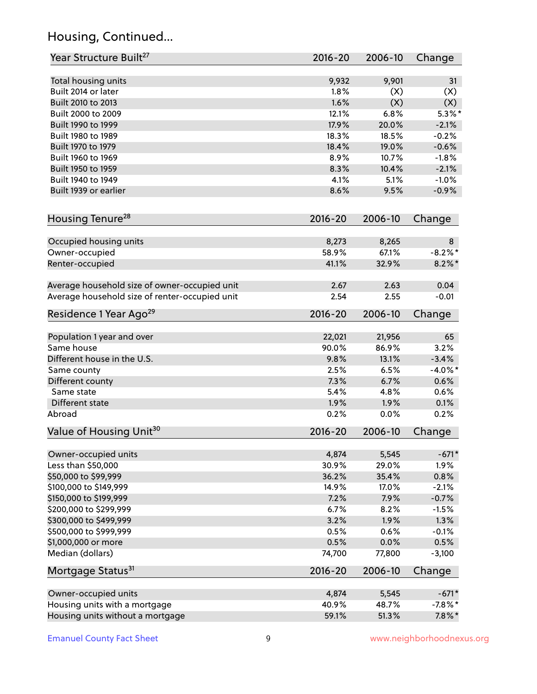## Housing, Continued...

| Year Structure Built <sup>27</sup>             | 2016-20     | 2006-10 | Change     |
|------------------------------------------------|-------------|---------|------------|
| Total housing units                            | 9,932       | 9,901   | 31         |
| Built 2014 or later                            | 1.8%        | (X)     | (X)        |
| Built 2010 to 2013                             | 1.6%        | (X)     | (X)        |
| Built 2000 to 2009                             | 12.1%       | 6.8%    | $5.3\%$ *  |
| Built 1990 to 1999                             | 17.9%       | 20.0%   | $-2.1%$    |
| Built 1980 to 1989                             | 18.3%       | 18.5%   | $-0.2%$    |
| Built 1970 to 1979                             | 18.4%       | 19.0%   | $-0.6%$    |
| Built 1960 to 1969                             | 8.9%        | 10.7%   | $-1.8%$    |
| Built 1950 to 1959                             | 8.3%        | 10.4%   | $-2.1%$    |
| Built 1940 to 1949                             | 4.1%        | 5.1%    | $-1.0%$    |
| Built 1939 or earlier                          | 8.6%        | 9.5%    | $-0.9%$    |
|                                                |             |         |            |
| Housing Tenure <sup>28</sup>                   | $2016 - 20$ | 2006-10 | Change     |
| Occupied housing units                         | 8,273       | 8,265   | 8          |
| Owner-occupied                                 | 58.9%       | 67.1%   | $-8.2\%$ * |
| Renter-occupied                                | 41.1%       | 32.9%   | $8.2\%$ *  |
| Average household size of owner-occupied unit  | 2.67        | 2.63    | 0.04       |
| Average household size of renter-occupied unit | 2.54        | 2.55    | $-0.01$    |
| Residence 1 Year Ago <sup>29</sup>             | 2016-20     | 2006-10 | Change     |
| Population 1 year and over                     | 22,021      | 21,956  | 65         |
| Same house                                     | 90.0%       | 86.9%   | 3.2%       |
| Different house in the U.S.                    | 9.8%        | 13.1%   | $-3.4%$    |
| Same county                                    | 2.5%        | 6.5%    | $-4.0\%$ * |
| Different county                               | 7.3%        | 6.7%    | 0.6%       |
| Same state                                     | 5.4%        | 4.8%    | 0.6%       |
| Different state                                | 1.9%        | 1.9%    | 0.1%       |
| Abroad                                         | 0.2%        | 0.0%    | 0.2%       |
| Value of Housing Unit <sup>30</sup>            | $2016 - 20$ | 2006-10 | Change     |
|                                                |             |         |            |
| Owner-occupied units                           | 4,874       | 5,545   | $-671*$    |
| Less than \$50,000                             | 30.9%       | 29.0%   | 1.9%       |
| \$50,000 to \$99,999                           | 36.2%       | 35.4%   | 0.8%       |
| \$100,000 to \$149,999                         | 14.9%       | 17.0%   | $-2.1%$    |
| \$150,000 to \$199,999                         | 7.2%        | 7.9%    | $-0.7%$    |
| \$200,000 to \$299,999                         | 6.7%        | 8.2%    | $-1.5%$    |
| \$300,000 to \$499,999                         | 3.2%        | 1.9%    | 1.3%       |
| \$500,000 to \$999,999                         | 0.5%        | 0.6%    | $-0.1%$    |
| \$1,000,000 or more                            | 0.5%        | 0.0%    | 0.5%       |
| Median (dollars)                               | 74,700      | 77,800  | $-3,100$   |
| Mortgage Status <sup>31</sup>                  | 2016-20     | 2006-10 | Change     |
| Owner-occupied units                           | 4,874       | 5,545   | $-671*$    |
| Housing units with a mortgage                  | 40.9%       | 48.7%   | $-7.8\%$ * |
| Housing units without a mortgage               | 59.1%       | 51.3%   | $7.8\%$ *  |
|                                                |             |         |            |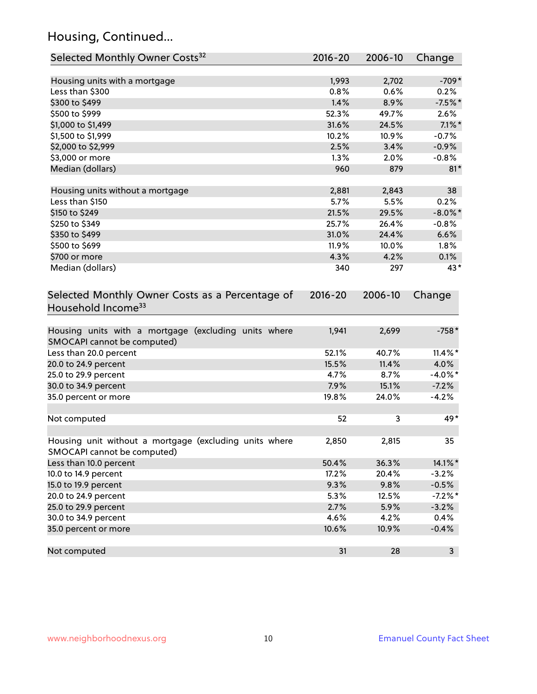## Housing, Continued...

| Selected Monthly Owner Costs <sup>32</sup>                                            | 2016-20     | 2006-10 | Change     |
|---------------------------------------------------------------------------------------|-------------|---------|------------|
| Housing units with a mortgage                                                         | 1,993       | 2,702   | $-709*$    |
| Less than \$300                                                                       | 0.8%        | 0.6%    | 0.2%       |
| \$300 to \$499                                                                        | 1.4%        | 8.9%    | $-7.5%$ *  |
| \$500 to \$999                                                                        | 52.3%       | 49.7%   | 2.6%       |
| \$1,000 to \$1,499                                                                    | 31.6%       | 24.5%   | $7.1\%$ *  |
| \$1,500 to \$1,999                                                                    | 10.2%       | 10.9%   | $-0.7%$    |
| \$2,000 to \$2,999                                                                    | 2.5%        | 3.4%    | $-0.9%$    |
| \$3,000 or more                                                                       | 1.3%        | 2.0%    | $-0.8%$    |
| Median (dollars)                                                                      | 960         | 879     | $81*$      |
| Housing units without a mortgage                                                      | 2,881       | 2,843   | 38         |
| Less than \$150                                                                       | 5.7%        | 5.5%    | 0.2%       |
| \$150 to \$249                                                                        | 21.5%       | 29.5%   | $-8.0\%$ * |
| \$250 to \$349                                                                        | 25.7%       | 26.4%   | $-0.8%$    |
| \$350 to \$499                                                                        | 31.0%       | 24.4%   | 6.6%       |
| \$500 to \$699                                                                        | 11.9%       | 10.0%   | 1.8%       |
| \$700 or more                                                                         | 4.3%        | 4.2%    | 0.1%       |
| Median (dollars)                                                                      | 340         | 297     | 43*        |
| Selected Monthly Owner Costs as a Percentage of<br>Household Income <sup>33</sup>     | $2016 - 20$ | 2006-10 | Change     |
| Housing units with a mortgage (excluding units where<br>SMOCAPI cannot be computed)   | 1,941       | 2,699   | $-758*$    |
| Less than 20.0 percent                                                                | 52.1%       | 40.7%   | $11.4\%$ * |
| 20.0 to 24.9 percent                                                                  | 15.5%       | 11.4%   | 4.0%       |
| 25.0 to 29.9 percent                                                                  | 4.7%        | 8.7%    | $-4.0\%$ * |
| 30.0 to 34.9 percent                                                                  | 7.9%        | 15.1%   | $-7.2%$    |
| 35.0 percent or more                                                                  | 19.8%       | 24.0%   | $-4.2%$    |
| Not computed                                                                          | 52          | 3       | 49*        |
| Housing unit without a mortgage (excluding units where<br>SMOCAPI cannot be computed) | 2,850       | 2,815   | 35         |
| Less than 10.0 percent                                                                | 50.4%       | 36.3%   | 14.1%*     |
| 10.0 to 14.9 percent                                                                  | 17.2%       | 20.4%   | $-3.2%$    |
| 15.0 to 19.9 percent                                                                  | 9.3%        | 9.8%    | $-0.5%$    |
| 20.0 to 24.9 percent                                                                  | 5.3%        | 12.5%   | $-7.2\%$ * |
| 25.0 to 29.9 percent                                                                  | 2.7%        | 5.9%    | $-3.2%$    |
| 30.0 to 34.9 percent                                                                  | 4.6%        | 4.2%    | 0.4%       |
| 35.0 percent or more                                                                  | 10.6%       | 10.9%   | $-0.4%$    |
| Not computed                                                                          | 31          | 28      | 3          |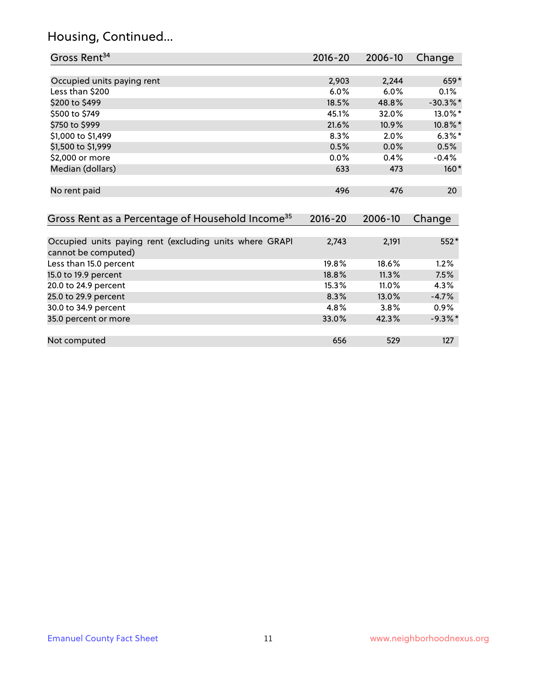## Housing, Continued...

| Gross Rent <sup>34</sup>                                                       | 2016-20     | 2006-10 | Change      |
|--------------------------------------------------------------------------------|-------------|---------|-------------|
|                                                                                |             |         |             |
| Occupied units paying rent                                                     | 2,903       | 2,244   | 659*        |
| Less than \$200                                                                | 6.0%        | 6.0%    | 0.1%        |
| \$200 to \$499                                                                 | 18.5%       | 48.8%   | $-30.3\%$ * |
| \$500 to \$749                                                                 | 45.1%       | 32.0%   | 13.0%*      |
| \$750 to \$999                                                                 | 21.6%       | 10.9%   | 10.8%*      |
| \$1,000 to \$1,499                                                             | 8.3%        | 2.0%    | $6.3\%$ *   |
| \$1,500 to \$1,999                                                             | 0.5%        | 0.0%    | 0.5%        |
| \$2,000 or more                                                                | 0.0%        | 0.4%    | $-0.4%$     |
| Median (dollars)                                                               | 633         | 473     | $160*$      |
|                                                                                |             |         |             |
| No rent paid                                                                   | 496         | 476     | 20          |
|                                                                                |             |         |             |
| Gross Rent as a Percentage of Household Income <sup>35</sup>                   | $2016 - 20$ | 2006-10 | Change      |
|                                                                                |             |         |             |
| Occupied units paying rent (excluding units where GRAPI<br>cannot be computed) | 2,743       | 2,191   | 552*        |
| Less than 15.0 percent                                                         | 19.8%       | 18.6%   | 1.2%        |
| 15.0 to 19.9 percent                                                           | 18.8%       | 11.3%   | 7.5%        |
| 20.0 to 24.9 percent                                                           | 15.3%       | 11.0%   | 4.3%        |
| 25.0 to 29.9 percent                                                           | 8.3%        | 13.0%   | $-4.7%$     |
| 30.0 to 34.9 percent                                                           | 4.8%        | 3.8%    | 0.9%        |
| 35.0 percent or more                                                           | 33.0%       | 42.3%   | $-9.3\%$ *  |
|                                                                                |             |         |             |
| Not computed                                                                   | 656         | 529     | 127         |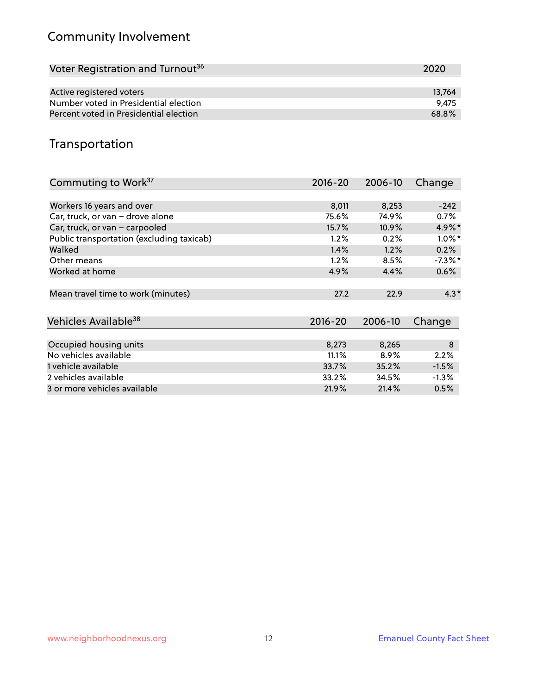## Community Involvement

| Voter Registration and Turnout <sup>36</sup> | 2020   |
|----------------------------------------------|--------|
|                                              |        |
| Active registered voters                     | 13.764 |
| Number voted in Presidential election        | 9.475  |
| Percent voted in Presidential election       | 68.8%  |

## Transportation

| Commuting to Work <sup>37</sup>           | 2016-20     | 2006-10 | Change     |
|-------------------------------------------|-------------|---------|------------|
|                                           |             |         |            |
| Workers 16 years and over                 | 8,011       | 8,253   | $-242$     |
| Car, truck, or van - drove alone          | 75.6%       | 74.9%   | 0.7%       |
| Car, truck, or van - carpooled            | 15.7%       | 10.9%   | $4.9\%$ *  |
| Public transportation (excluding taxicab) | 1.2%        | 0.2%    | $1.0\%$ *  |
| Walked                                    | 1.4%        | 1.2%    | 0.2%       |
| Other means                               | 1.2%        | 8.5%    | $-7.3\%$ * |
| Worked at home                            | 4.9%        | 4.4%    | $0.6\%$    |
| Mean travel time to work (minutes)        | 27.2        | 22.9    | $4.3*$     |
| Vehicles Available <sup>38</sup>          | $2016 - 20$ | 2006-10 | Change     |
|                                           |             |         |            |
| Occupied housing units                    | 8,273       | 8,265   | $\bf 8$    |
| No vehicles available                     | 11.1%       | 8.9%    | 2.2%       |
| 1 vehicle available                       | 33.7%       | 35.2%   | $-1.5%$    |
| 2 vehicles available                      | 33.2%       | 34.5%   | $-1.3\%$   |
| 3 or more vehicles available              | 21.9%       | 21.4%   | 0.5%       |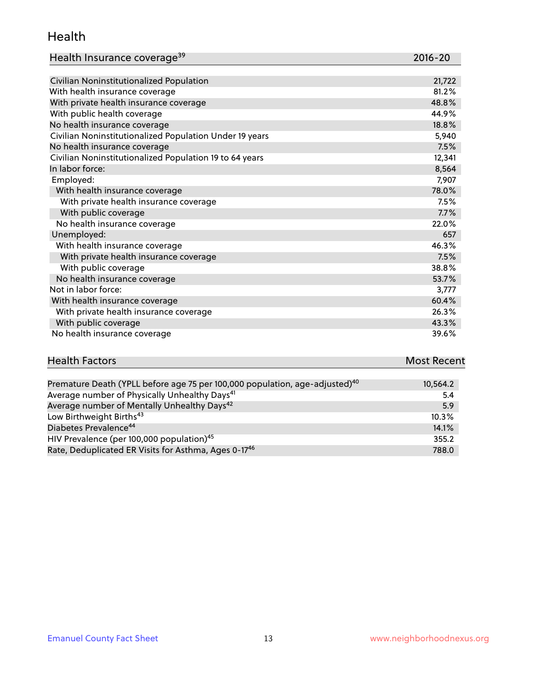#### Health

| Health Insurance coverage <sup>39</sup> | 2016-20 |
|-----------------------------------------|---------|
|-----------------------------------------|---------|

| Civilian Noninstitutionalized Population                | 21,722 |
|---------------------------------------------------------|--------|
| With health insurance coverage                          | 81.2%  |
| With private health insurance coverage                  | 48.8%  |
| With public health coverage                             | 44.9%  |
| No health insurance coverage                            | 18.8%  |
| Civilian Noninstitutionalized Population Under 19 years | 5,940  |
| No health insurance coverage                            | 7.5%   |
| Civilian Noninstitutionalized Population 19 to 64 years | 12,341 |
| In labor force:                                         | 8,564  |
| Employed:                                               | 7,907  |
| With health insurance coverage                          | 78.0%  |
| With private health insurance coverage                  | 7.5%   |
| With public coverage                                    | 7.7%   |
| No health insurance coverage                            | 22.0%  |
| Unemployed:                                             | 657    |
| With health insurance coverage                          | 46.3%  |
| With private health insurance coverage                  | 7.5%   |
| With public coverage                                    | 38.8%  |
| No health insurance coverage                            | 53.7%  |
| Not in labor force:                                     | 3,777  |
| With health insurance coverage                          | 60.4%  |
| With private health insurance coverage                  | 26.3%  |
| With public coverage                                    | 43.3%  |
| No health insurance coverage                            | 39.6%  |

# **Health Factors Most Recent** And The Control of the Control of The Control of The Control of The Control of The Control of The Control of The Control of The Control of The Control of The Control of The Control of The Contr

| Premature Death (YPLL before age 75 per 100,000 population, age-adjusted) <sup>40</sup> | 10,564.2 |
|-----------------------------------------------------------------------------------------|----------|
| Average number of Physically Unhealthy Days <sup>41</sup>                               | 5.4      |
| Average number of Mentally Unhealthy Days <sup>42</sup>                                 | 5.9      |
| Low Birthweight Births <sup>43</sup>                                                    | 10.3%    |
| Diabetes Prevalence <sup>44</sup>                                                       | 14.1%    |
| HIV Prevalence (per 100,000 population) <sup>45</sup>                                   | 355.2    |
| Rate, Deduplicated ER Visits for Asthma, Ages 0-17 <sup>46</sup>                        | 788.0    |